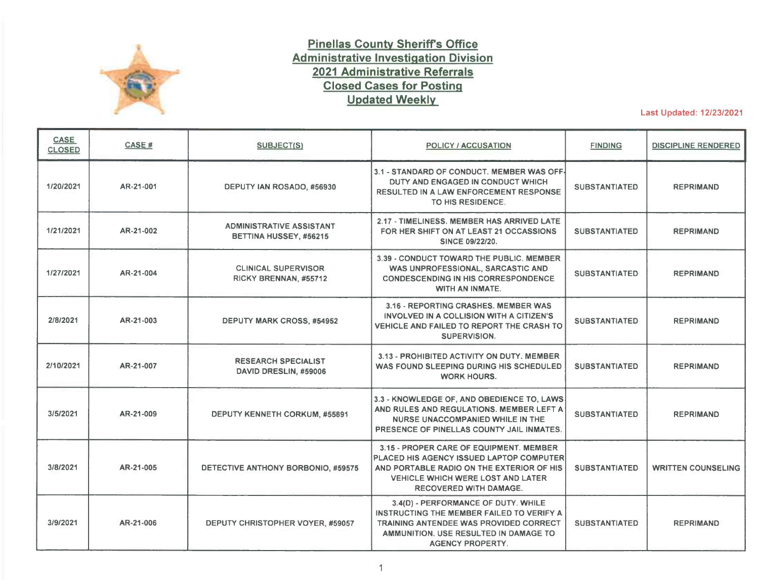

## **Pinellas County Sheritrs Office Administrative Investigation Division 2021 Administrative Referrals Closed Cases for Posting Updated Weekly**

Last Updated: 12/23/2021

| <b>CASE</b><br><b>CLOSED</b> | CASE #    | SUBJECT(S)                                                | POLICY / ACCUSATION                                                                                                                                                                                    | <b>FINDING</b>       | <b>DISCIPLINE RENDERED</b> |
|------------------------------|-----------|-----------------------------------------------------------|--------------------------------------------------------------------------------------------------------------------------------------------------------------------------------------------------------|----------------------|----------------------------|
| 1/20/2021                    | AR-21-001 | DEPUTY IAN ROSADO, #56930                                 | 3.1 - STANDARD OF CONDUCT. MEMBER WAS OFF-<br>DUTY AND ENGAGED IN CONDUCT WHICH<br><b>RESULTED IN A LAW ENFORCEMENT RESPONSE</b><br>TO HIS RESIDENCE.                                                  | <b>SUBSTANTIATED</b> | <b>REPRIMAND</b>           |
| 1/21/2021                    | AR-21-002 | <b>ADMINISTRATIVE ASSISTANT</b><br>BETTINA HUSSEY, #56215 | 2.17 - TIMELINESS, MEMBER HAS ARRIVED LATE<br>FOR HER SHIFT ON AT LEAST 21 OCCASSIONS<br><b>SINCE 09/22/20.</b>                                                                                        | <b>SUBSTANTIATED</b> | <b>REPRIMAND</b>           |
| 1/27/2021                    | AR-21-004 | <b>CLINICAL SUPERVISOR</b><br>RICKY BRENNAN, #55712       | 3.39 - CONDUCT TOWARD THE PUBLIC. MEMBER<br>WAS UNPROFESSIONAL, SARCASTIC AND<br><b>CONDESCENDING IN HIS CORRESPONDENCE</b><br><b>WITH AN INMATE.</b>                                                  | <b>SUBSTANTIATED</b> | <b>REPRIMAND</b>           |
| 2/8/2021                     | AR-21-003 | <b>DEPUTY MARK CROSS, #54952</b>                          | 3.16 - REPORTING CRASHES, MEMBER WAS<br>INVOLVED IN A COLLISION WITH A CITIZEN'S<br><b>VEHICLE AND FAILED TO REPORT THE CRASH TO</b><br><b>SUPERVISION.</b>                                            | <b>SUBSTANTIATED</b> | <b>REPRIMAND</b>           |
| 2/10/2021                    | AR-21-007 | <b>RESEARCH SPECIALIST</b><br>DAVID DRESLIN, #59006       | 3.13 - PROHIBITED ACTIVITY ON DUTY. MEMBER<br>WAS FOUND SLEEPING DURING HIS SCHEDULED<br><b>WORK HOURS.</b>                                                                                            | <b>SUBSTANTIATED</b> | <b>REPRIMAND</b>           |
| 3/5/2021                     | AR-21-009 | <b>DEPUTY KENNETH CORKUM, #55891</b>                      | 3.3 - KNOWLEDGE OF, AND OBEDIENCE TO, LAWS<br>AND RULES AND REGULATIONS. MEMBER LEFT A<br>NURSE UNACCOMPANIED WHILE IN THE<br>PRESENCE OF PINELLAS COUNTY JAIL INMATES.                                | <b>SUBSTANTIATED</b> | <b>REPRIMAND</b>           |
| 3/8/2021                     | AR-21-005 | DETECTIVE ANTHONY BORBONIO, #59575                        | 3.15 - PROPER CARE OF EQUIPMENT. MEMBER<br>PLACED HIS AGENCY ISSUED LAPTOP COMPUTER<br>AND PORTABLE RADIO ON THE EXTERIOR OF HIS<br><b>VEHICLE WHICH WERE LOST AND LATER</b><br>RECOVERED WITH DAMAGE. | <b>SUBSTANTIATED</b> | <b>WRITTEN COUNSELING</b>  |
| 3/9/2021                     | AR-21-006 | DEPUTY CHRISTOPHER VOYER, #59057                          | 3.4(D) - PERFORMANCE OF DUTY. WHILE<br>INSTRUCTING THE MEMBER FAILED TO VERIFY A<br><b>TRAINING ANTENDEE WAS PROVIDED CORRECT</b><br>AMMUNITION. USE RESULTED IN DAMAGE TO<br><b>AGENCY PROPERTY.</b>  | <b>SUBSTANTIATED</b> | <b>REPRIMAND</b>           |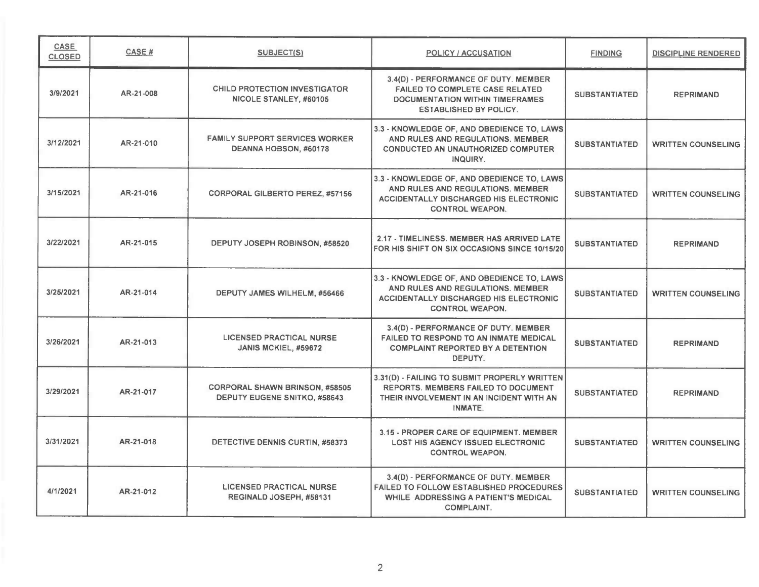| CASE<br><b>CLOSED</b> | CASE#     | SUBJECT(S)                                                            | POLICY / ACCUSATION                                                                                                                                        | <b>FINDING</b>       | <b>DISCIPLINE RENDERED</b> |
|-----------------------|-----------|-----------------------------------------------------------------------|------------------------------------------------------------------------------------------------------------------------------------------------------------|----------------------|----------------------------|
| 3/9/2021              | AR-21-008 | <b>CHILD PROTECTION INVESTIGATOR</b><br>NICOLE STANLEY, #60105        | 3.4(D) - PERFORMANCE OF DUTY. MEMBER<br><b>FAILED TO COMPLETE CASE RELATED</b><br><b>DOCUMENTATION WITHIN TIMEFRAMES</b><br><b>ESTABLISHED BY POLICY.</b>  | <b>SUBSTANTIATED</b> | <b>REPRIMAND</b>           |
| 3/12/2021             | AR-21-010 | <b>FAMILY SUPPORT SERVICES WORKER</b><br>DEANNA HOBSON, #60178        | 3.3 - KNOWLEDGE OF, AND OBEDIENCE TO, LAWS<br>AND RULES AND REGULATIONS. MEMBER<br>CONDUCTED AN UNAUTHORIZED COMPUTER<br>INQUIRY.                          | <b>SUBSTANTIATED</b> | <b>WRITTEN COUNSELING</b>  |
| 3/15/2021             | AR-21-016 | <b>CORPORAL GILBERTO PEREZ, #57156</b>                                | 3.3 - KNOWLEDGE OF, AND OBEDIENCE TO, LAWS<br>AND RULES AND REGULATIONS. MEMBER<br>ACCIDENTALLY DISCHARGED HIS ELECTRONIC<br><b>CONTROL WEAPON.</b>        | <b>SUBSTANTIATED</b> | <b>WRITTEN COUNSELING</b>  |
| 3/22/2021             | AR-21-015 | DEPUTY JOSEPH ROBINSON, #58520                                        | 2.17 - TIMELINESS. MEMBER HAS ARRIVED LATE<br>FOR HIS SHIFT ON SIX OCCASIONS SINCE 10/15/20                                                                | <b>SUBSTANTIATED</b> | <b>REPRIMAND</b>           |
| 3/25/2021             | AR-21-014 | DEPUTY JAMES WILHELM, #56466                                          | 3.3 - KNOWLEDGE OF, AND OBEDIENCE TO, LAWS<br>AND RULES AND REGULATIONS. MEMBER<br><b>ACCIDENTALLY DISCHARGED HIS ELECTRONIC</b><br><b>CONTROL WEAPON.</b> | <b>SUBSTANTIATED</b> | <b>WRITTEN COUNSELING</b>  |
| 3/26/2021             | AR-21-013 | <b>LICENSED PRACTICAL NURSE</b><br>JANIS MCKIEL, #59672               | 3.4(D) - PERFORMANCE OF DUTY. MEMBER<br><b>FAILED TO RESPOND TO AN INMATE MEDICAL</b><br><b>COMPLAINT REPORTED BY A DETENTION</b><br>DEPUTY.               | <b>SUBSTANTIATED</b> | <b>REPRIMAND</b>           |
| 3/29/2021             | AR-21-017 | <b>CORPORAL SHAWN BRINSON, #58505</b><br>DEPUTY EUGENE SNITKO, #58643 | 3.31(D) - FAILING TO SUBMIT PROPERLY WRITTEN<br><b>REPORTS. MEMBERS FAILED TO DOCUMENT</b><br>THEIR INVOLVEMENT IN AN INCIDENT WITH AN<br>INMATE.          | <b>SUBSTANTIATED</b> | <b>REPRIMAND</b>           |
| 3/31/2021             | AR-21-018 | DETECTIVE DENNIS CURTIN, #58373                                       | 3.15 - PROPER CARE OF EQUIPMENT. MEMBER<br><b>LOST HIS AGENCY ISSUED ELECTRONIC</b><br><b>CONTROL WEAPON.</b>                                              | <b>SUBSTANTIATED</b> | <b>WRITTEN COUNSELING</b>  |
| 4/1/2021              | AR-21-012 | <b>LICENSED PRACTICAL NURSE</b><br>REGINALD JOSEPH, #58131            | 3.4(D) - PERFORMANCE OF DUTY. MEMBER<br><b>FAILED TO FOLLOW ESTABLISHED PROCEDURES</b><br>WHILE ADDRESSING A PATIENT'S MEDICAL<br><b>COMPLAINT.</b>        | <b>SUBSTANTIATED</b> | <b>WRITTEN COUNSELING</b>  |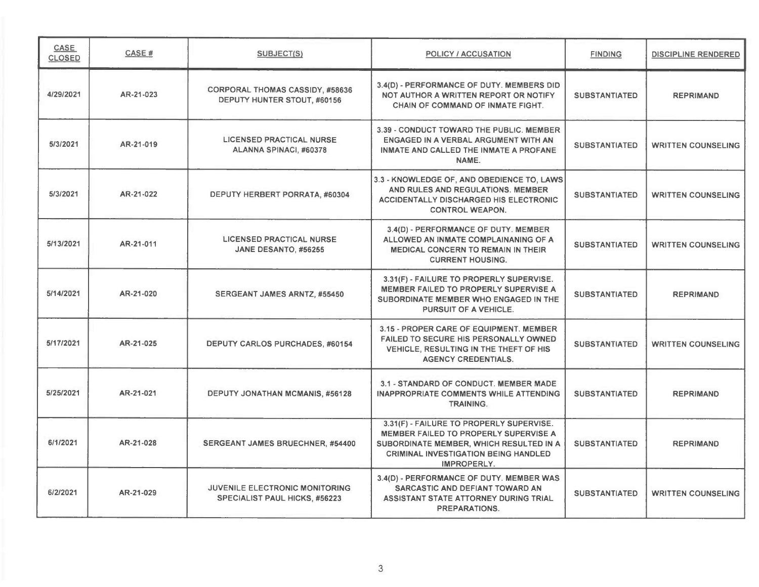| CASE<br><b>CLOSED</b> | CASE#     | SUBJECT(S)                                                                    | <b>POLICY / ACCUSATION</b>                                                                                                                                                                 | <b>FINDING</b>       | <b>DISCIPLINE RENDERED</b> |
|-----------------------|-----------|-------------------------------------------------------------------------------|--------------------------------------------------------------------------------------------------------------------------------------------------------------------------------------------|----------------------|----------------------------|
| 4/29/2021             | AR-21-023 | <b>CORPORAL THOMAS CASSIDY, #58636</b><br>DEPUTY HUNTER STOUT, #60156         | 3.4(D) - PERFORMANCE OF DUTY. MEMBERS DID<br>NOT AUTHOR A WRITTEN REPORT OR NOTIFY<br><b>CHAIN OF COMMAND OF INMATE FIGHT.</b>                                                             | <b>SUBSTANTIATED</b> | <b>REPRIMAND</b>           |
| 5/3/2021              | AR-21-019 | <b>LICENSED PRACTICAL NURSE</b><br>ALANNA SPINACI, #60378                     | 3.39 - CONDUCT TOWARD THE PUBLIC. MEMBER<br>ENGAGED IN A VERBAL ARGUMENT WITH AN<br>INMATE AND CALLED THE INMATE A PROFANE<br>NAME.                                                        | <b>SUBSTANTIATED</b> | <b>WRITTEN COUNSELING</b>  |
| 5/3/2021              | AR-21-022 | DEPUTY HERBERT PORRATA, #60304                                                | 3.3 - KNOWLEDGE OF, AND OBEDIENCE TO, LAWS<br>AND RULES AND REGULATIONS. MEMBER<br><b>ACCIDENTALLY DISCHARGED HIS ELECTRONIC</b><br><b>CONTROL WEAPON.</b>                                 | <b>SUBSTANTIATED</b> | <b>WRITTEN COUNSELING</b>  |
| 5/13/2021             | AR-21-011 | <b>LICENSED PRACTICAL NURSE</b><br>JANE DESANTO, #56255                       | 3.4(D) - PERFORMANCE OF DUTY. MEMBER<br>ALLOWED AN INMATE COMPLAINANING OF A<br><b>MEDICAL CONCERN TO REMAIN IN THEIR</b><br><b>CURRENT HOUSING.</b>                                       | <b>SUBSTANTIATED</b> | <b>WRITTEN COUNSELING</b>  |
| 5/14/2021             | AR-21-020 | SERGEANT JAMES ARNTZ, #55450                                                  | 3.31(F) - FAILURE TO PROPERLY SUPERVISE.<br>MEMBER FAILED TO PROPERLY SUPERVISE A<br>SUBORDINATE MEMBER WHO ENGAGED IN THE<br>PURSUIT OF A VEHICLE.                                        | <b>SUBSTANTIATED</b> | <b>REPRIMAND</b>           |
| 5/17/2021             | AR-21-025 | <b>DEPUTY CARLOS PURCHADES, #60154</b>                                        | 3.15 - PROPER CARE OF EQUIPMENT. MEMBER<br><b>FAILED TO SECURE HIS PERSONALLY OWNED</b><br>VEHICLE, RESULTING IN THE THEFT OF HIS<br><b>AGENCY CREDENTIALS.</b>                            | <b>SUBSTANTIATED</b> | <b>WRITTEN COUNSELING</b>  |
| 5/25/2021             | AR-21-021 | <b>DEPUTY JONATHAN MCMANIS, #56128</b>                                        | 3.1 - STANDARD OF CONDUCT. MEMBER MADE<br><b>INAPPROPRIATE COMMENTS WHILE ATTENDING</b><br><b>TRAINING.</b>                                                                                | <b>SUBSTANTIATED</b> | <b>REPRIMAND</b>           |
| 6/1/2021              | AR-21-028 | SERGEANT JAMES BRUECHNER, #54400                                              | 3.31(F) - FAILURE TO PROPERLY SUPERVISE.<br>MEMBER FAILED TO PROPERLY SUPERVISE A<br>SUBORDINATE MEMBER, WHICH RESULTED IN A<br><b>CRIMINAL INVESTIGATION BEING HANDLED</b><br>IMPROPERLY. | <b>SUBSTANTIATED</b> | <b>REPRIMAND</b>           |
| 6/2/2021              | AR-21-029 | <b>JUVENILE ELECTRONIC MONITORING</b><br><b>SPECIALIST PAUL HICKS, #56223</b> | 3.4(D) - PERFORMANCE OF DUTY. MEMBER WAS<br>SARCASTIC AND DEFIANT TOWARD AN<br>ASSISTANT STATE ATTORNEY DURING TRIAL<br><b>PREPARATIONS.</b>                                               | <b>SUBSTANTIATED</b> | <b>WRITTEN COUNSELING</b>  |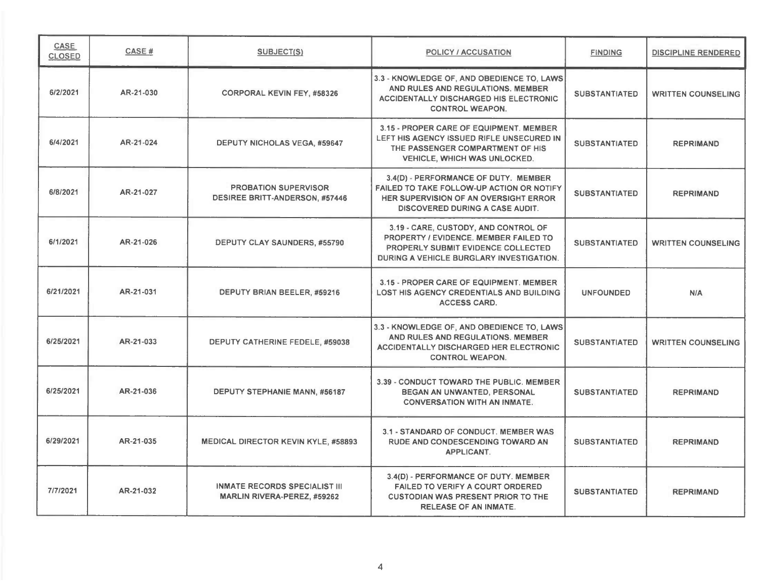| CASE<br><b>CLOSED</b> | CASE#     | SUBJECT(S)                                                                 | POLICY / ACCUSATION                                                                                                                                             | <b>FINDING</b>       | <b>DISCIPLINE RENDERED</b> |
|-----------------------|-----------|----------------------------------------------------------------------------|-----------------------------------------------------------------------------------------------------------------------------------------------------------------|----------------------|----------------------------|
| 6/2/2021              | AR-21-030 | <b>CORPORAL KEVIN FEY, #58326</b>                                          | 3.3 - KNOWLEDGE OF, AND OBEDIENCE TO, LAWS<br>AND RULES AND REGULATIONS. MEMBER<br>ACCIDENTALLY DISCHARGED HIS ELECTRONIC<br><b>CONTROL WEAPON.</b>             | <b>SUBSTANTIATED</b> | <b>WRITTEN COUNSELING</b>  |
| 6/4/2021              | AR-21-024 | <b>DEPUTY NICHOLAS VEGA, #59647</b>                                        | 3.15 - PROPER CARE OF EQUIPMENT. MEMBER<br>LEFT HIS AGENCY ISSUED RIFLE UNSECURED IN<br>THE PASSENGER COMPARTMENT OF HIS<br><b>VEHICLE, WHICH WAS UNLOCKED.</b> | <b>SUBSTANTIATED</b> | <b>REPRIMAND</b>           |
| 6/8/2021              | AR-21-027 | <b>PROBATION SUPERVISOR</b><br><b>DESIREE BRITT-ANDERSON, #57446</b>       | 3.4(D) - PERFORMANCE OF DUTY. MEMBER<br>FAILED TO TAKE FOLLOW-UP ACTION OR NOTIFY<br>HER SUPERVISION OF AN OVERSIGHT ERROR<br>DISCOVERED DURING A CASE AUDIT.   | <b>SUBSTANTIATED</b> | <b>REPRIMAND</b>           |
| 6/1/2021              | AR-21-026 | DEPUTY CLAY SAUNDERS, #55790                                               | 3.19 - CARE, CUSTODY, AND CONTROL OF<br>PROPERTY / EVIDENCE, MEMBER FAILED TO<br>PROPERLY SUBMIT EVIDENCE COLLECTED<br>DURING A VEHICLE BURGLARY INVESTIGATION. | <b>SUBSTANTIATED</b> | <b>WRITTEN COUNSELING</b>  |
| 6/21/2021             | AR-21-031 | DEPUTY BRIAN BEELER, #59216                                                | 3.15 - PROPER CARE OF EQUIPMENT. MEMBER<br><b>LOST HIS AGENCY CREDENTIALS AND BUILDING</b><br><b>ACCESS CARD.</b>                                               | <b>UNFOUNDED</b>     | <b>N/A</b>                 |
| 6/25/2021             | AR-21-033 | <b>DEPUTY CATHERINE FEDELE, #59038</b>                                     | 3.3 - KNOWLEDGE OF, AND OBEDIENCE TO, LAWS<br>AND RULES AND REGULATIONS. MEMBER<br><b>ACCIDENTALLY DISCHARGED HER ELECTRONIC</b><br><b>CONTROL WEAPON.</b>      | <b>SUBSTANTIATED</b> | <b>WRITTEN COUNSELING</b>  |
| 6/25/2021             | AR-21-036 | DEPUTY STEPHANIE MANN, #56187                                              | 3.39 - CONDUCT TOWARD THE PUBLIC. MEMBER<br>BEGAN AN UNWANTED, PERSONAL<br><b>CONVERSATION WITH AN INMATE.</b>                                                  | <b>SUBSTANTIATED</b> | <b>REPRIMAND</b>           |
| 6/29/2021             | AR-21-035 | <b>MEDICAL DIRECTOR KEVIN KYLE, #58893</b>                                 | 3.1 - STANDARD OF CONDUCT. MEMBER WAS<br><b>RUDE AND CONDESCENDING TOWARD AN</b><br><b>APPLICANT.</b>                                                           | <b>SUBSTANTIATED</b> | <b>REPRIMAND</b>           |
| 7/7/2021              | AR-21-032 | <b>INMATE RECORDS SPECIALIST III</b><br><b>MARLIN RIVERA-PEREZ, #59262</b> | 3.4(D) - PERFORMANCE OF DUTY. MEMBER<br><b>FAILED TO VERIFY A COURT ORDERED</b><br><b>CUSTODIAN WAS PRESENT PRIOR TO THE</b><br><b>RELEASE OF AN INMATE.</b>    | <b>SUBSTANTIATED</b> | <b>REPRIMAND</b>           |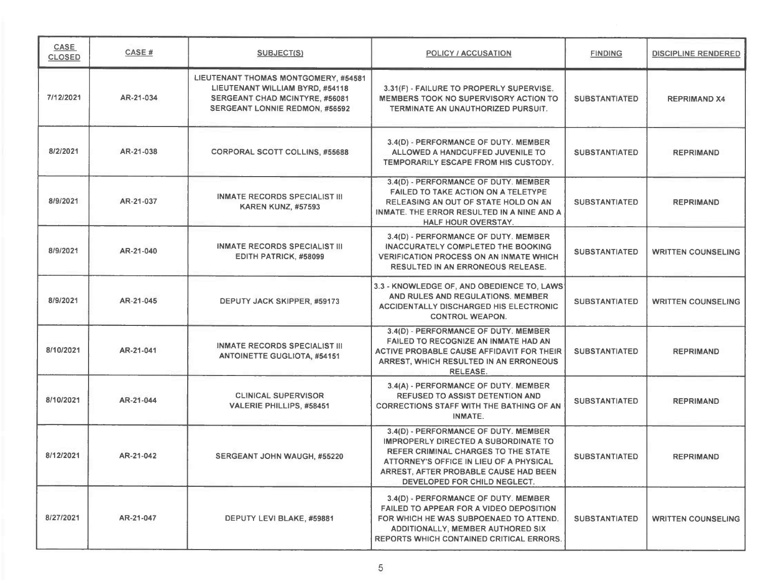| <b>CASE</b><br><b>CLOSED</b> | CASE#     | <b>SUBJECT(S)</b>                                                                                                                                  | <b>POLICY / ACCUSATION</b>                                                                                                                                                                                                                     | <b>FINDING</b>       | DISCIPLINE RENDERED       |
|------------------------------|-----------|----------------------------------------------------------------------------------------------------------------------------------------------------|------------------------------------------------------------------------------------------------------------------------------------------------------------------------------------------------------------------------------------------------|----------------------|---------------------------|
| 7/12/2021                    | AR-21-034 | LIEUTENANT THOMAS MONTGOMERY, #54581<br>LIEUTENANT WILLIAM BYRD, #54118<br>SERGEANT CHAD MCINTYRE, #56081<br><b>SERGEANT LONNIE REDMON, #56592</b> | 3.31(F) - FAILURE TO PROPERLY SUPERVISE.<br><b>MEMBERS TOOK NO SUPERVISORY ACTION TO</b><br>TERMINATE AN UNAUTHORIZED PURSUIT.                                                                                                                 | <b>SUBSTANTIATED</b> | <b>REPRIMAND X4</b>       |
| 8/2/2021                     | AR-21-038 | <b>CORPORAL SCOTT COLLINS, #55688</b>                                                                                                              | 3.4(D) - PERFORMANCE OF DUTY. MEMBER<br>ALLOWED A HANDCUFFED JUVENILE TO<br>TEMPORARILY ESCAPE FROM HIS CUSTODY.                                                                                                                               | <b>SUBSTANTIATED</b> | <b>REPRIMAND</b>          |
| 8/9/2021                     | AR-21-037 | <b>INMATE RECORDS SPECIALIST III</b><br><b>KAREN KUNZ, #57593</b>                                                                                  | 3.4(D) - PERFORMANCE OF DUTY. MEMBER<br><b>FAILED TO TAKE ACTION ON A TELETYPE</b><br>RELEASING AN OUT OF STATE HOLD ON AN<br>INMATE. THE ERROR RESULTED IN A NINE AND A<br>HALF HOUR OVERSTAY.                                                | <b>SUBSTANTIATED</b> | <b>REPRIMAND</b>          |
| 8/9/2021                     | AR-21-040 | <b>INMATE RECORDS SPECIALIST III</b><br>EDITH PATRICK, #58099                                                                                      | 3.4(D) - PERFORMANCE OF DUTY. MEMBER<br>INACCURATELY COMPLETED THE BOOKING<br><b>VERIFICATION PROCESS ON AN INMATE WHICH</b><br><b>RESULTED IN AN ERRONEOUS RELEASE.</b>                                                                       | <b>SUBSTANTIATED</b> | <b>WRITTEN COUNSELING</b> |
| 8/9/2021                     | AR-21-045 | DEPUTY JACK SKIPPER, #59173                                                                                                                        | 3.3 - KNOWLEDGE OF, AND OBEDIENCE TO, LAWS<br>AND RULES AND REGULATIONS. MEMBER<br><b>ACCIDENTALLY DISCHARGED HIS ELECTRONIC</b><br><b>CONTROL WEAPON.</b>                                                                                     | <b>SUBSTANTIATED</b> | <b>WRITTEN COUNSELING</b> |
| 8/10/2021                    | AR-21-041 | <b>INMATE RECORDS SPECIALIST III</b><br><b>ANTOINETTE GUGLIOTA, #54151</b>                                                                         | 3.4(D) - PERFORMANCE OF DUTY. MEMBER<br>FAILED TO RECOGNIZE AN INMATE HAD AN<br>ACTIVE PROBABLE CAUSE AFFIDAVIT FOR THEIR<br>ARREST, WHICH RESULTED IN AN ERRONEOUS<br><b>RELEASE.</b>                                                         | <b>SUBSTANTIATED</b> | <b>REPRIMAND</b>          |
| 8/10/2021                    | AR-21-044 | <b>CLINICAL SUPERVISOR</b><br><b>VALERIE PHILLIPS, #58451</b>                                                                                      | 3.4(A) - PERFORMANCE OF DUTY. MEMBER<br><b>REFUSED TO ASSIST DETENTION AND</b><br><b>CORRECTIONS STAFF WITH THE BATHING OF AN</b><br><b>INMATE.</b>                                                                                            | <b>SUBSTANTIATED</b> | <b>REPRIMAND</b>          |
| 8/12/2021                    | AR-21-042 | SERGEANT JOHN WAUGH, #55220                                                                                                                        | 3.4(D) - PERFORMANCE OF DUTY. MEMBER<br><b>IMPROPERLY DIRECTED A SUBORDINATE TO</b><br>REFER CRIMINAL CHARGES TO THE STATE<br>ATTORNEY'S OFFICE IN LIEU OF A PHYSICAL<br>ARREST, AFTER PROBABLE CAUSE HAD BEEN<br>DEVELOPED FOR CHILD NEGLECT. | <b>SUBSTANTIATED</b> | <b>REPRIMAND</b>          |
| 8/27/2021                    | AR-21-047 | DEPUTY LEVI BLAKE, #59881                                                                                                                          | 3.4(D) - PERFORMANCE OF DUTY. MEMBER<br>FAILED TO APPEAR FOR A VIDEO DEPOSITION<br>FOR WHICH HE WAS SUBPOENAED TO ATTEND.<br><b>ADDITIONALLY, MEMBER AUTHORED SIX</b><br><b>REPORTS WHICH CONTAINED CRITICAL ERRORS.</b>                       | <b>SUBSTANTIATED</b> | <b>WRITTEN COUNSELING</b> |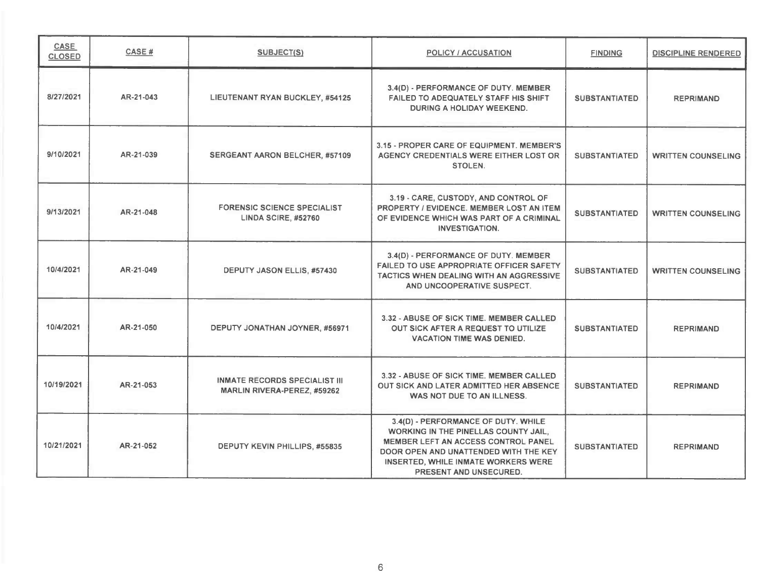| <b>CASE</b><br><b>CLOSED</b> | CASE#     | SUBJECT(S)                                                                 | POLICY / ACCUSATION                                                                                                                                                                                                                 | <b>FINDING</b>       | <b>DISCIPLINE RENDERED</b> |
|------------------------------|-----------|----------------------------------------------------------------------------|-------------------------------------------------------------------------------------------------------------------------------------------------------------------------------------------------------------------------------------|----------------------|----------------------------|
| 8/27/2021                    | AR-21-043 | LIEUTENANT RYAN BUCKLEY, #54125                                            | 3.4(D) - PERFORMANCE OF DUTY. MEMBER<br><b>FAILED TO ADEQUATELY STAFF HIS SHIFT</b><br><b>DURING A HOLIDAY WEEKEND.</b>                                                                                                             | <b>SUBSTANTIATED</b> | <b>REPRIMAND</b>           |
| 9/10/2021                    | AR-21-039 | SERGEANT AARON BELCHER, #57109                                             | 3.15 - PROPER CARE OF EQUIPMENT. MEMBER'S<br>AGENCY CREDENTIALS WERE EITHER LOST OR<br>STOLEN.                                                                                                                                      | <b>SUBSTANTIATED</b> | <b>WRITTEN COUNSELING</b>  |
| 9/13/2021                    | AR-21-048 | <b>FORENSIC SCIENCE SPECIALIST</b><br>LINDA SCIRE, #52760                  | 3.19 - CARE, CUSTODY, AND CONTROL OF<br>PROPERTY / EVIDENCE. MEMBER LOST AN ITEM<br>OF EVIDENCE WHICH WAS PART OF A CRIMINAL<br><b>INVESTIGATION.</b>                                                                               | <b>SUBSTANTIATED</b> | <b>WRITTEN COUNSELING</b>  |
| 10/4/2021                    | AR-21-049 | DEPUTY JASON ELLIS, #57430                                                 | 3.4(D) - PERFORMANCE OF DUTY. MEMBER<br><b>FAILED TO USE APPROPRIATE OFFICER SAFETY</b><br><b>TACTICS WHEN DEALING WITH AN AGGRESSIVE</b><br>AND UNCOOPERATIVE SUSPECT.                                                             | <b>SUBSTANTIATED</b> | <b>WRITTEN COUNSELING</b>  |
| 10/4/2021                    | AR-21-050 | DEPUTY JONATHAN JOYNER, #56971                                             | 3.32 - ABUSE OF SICK TIME. MEMBER CALLED<br>OUT SICK AFTER A REQUEST TO UTILIZE<br><b>VACATION TIME WAS DENIED.</b>                                                                                                                 | <b>SUBSTANTIATED</b> | <b>REPRIMAND</b>           |
| 10/19/2021                   | AR-21-053 | <b>INMATE RECORDS SPECIALIST III</b><br><b>MARLIN RIVERA-PEREZ, #59262</b> | 3.32 - ABUSE OF SICK TIME, MEMBER CALLED<br>OUT SICK AND LATER ADMITTED HER ABSENCE<br>WAS NOT DUE TO AN ILLNESS.                                                                                                                   | <b>SUBSTANTIATED</b> | <b>REPRIMAND</b>           |
| 10/21/2021                   | AR-21-052 | DEPUTY KEVIN PHILLIPS, #55835                                              | 3.4(D) - PERFORMANCE OF DUTY. WHILE<br>WORKING IN THE PINELLAS COUNTY JAIL,<br><b>MEMBER LEFT AN ACCESS CONTROL PANEL</b><br>DOOR OPEN AND UNATTENDED WITH THE KEY<br>INSERTED, WHILE INMATE WORKERS WERE<br>PRESENT AND UNSECURED. | <b>SUBSTANTIATED</b> | <b>REPRIMAND</b>           |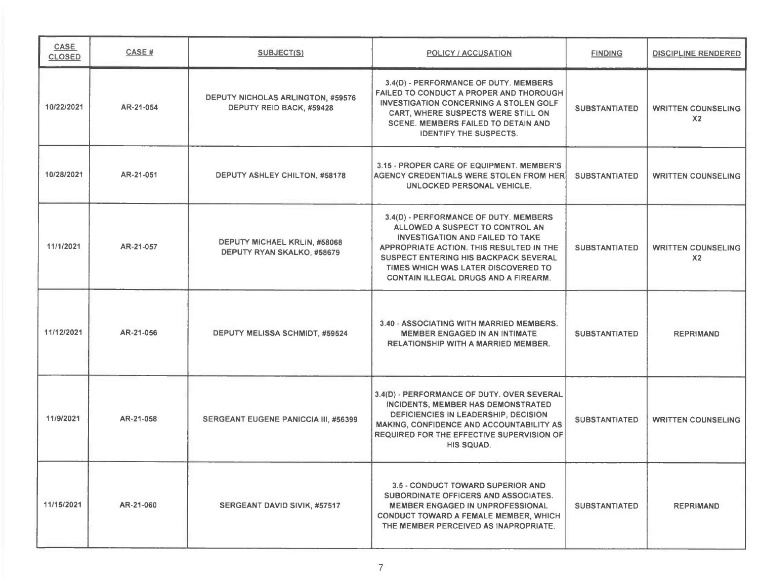| CASE<br><b>CLOSED</b> | CASE #    | <b>SUBJECT(S)</b>                                                    | <b>POLICY / ACCUSATION</b>                                                                                                                                                                                                                                                                            | <b>FINDING</b>       | <b>DISCIPLINE RENDERED</b>                  |
|-----------------------|-----------|----------------------------------------------------------------------|-------------------------------------------------------------------------------------------------------------------------------------------------------------------------------------------------------------------------------------------------------------------------------------------------------|----------------------|---------------------------------------------|
| 10/22/2021            | AR-21-054 | <b>DEPUTY NICHOLAS ARLINGTON, #59576</b><br>DEPUTY REID BACK, #59428 | 3.4(D) - PERFORMANCE OF DUTY. MEMBERS<br>FAILED TO CONDUCT A PROPER AND THOROUGH<br><b>INVESTIGATION CONCERNING A STOLEN GOLF</b><br>CART, WHERE SUSPECTS WERE STILL ON<br><b>SCENE. MEMBERS FAILED TO DETAIN AND</b><br><b>IDENTIFY THE SUSPECTS.</b>                                                | <b>SUBSTANTIATED</b> | <b>WRITTEN COUNSELING</b><br>X <sub>2</sub> |
| 10/28/2021            | AR-21-051 | DEPUTY ASHLEY CHILTON, #58178                                        | 3.15 - PROPER CARE OF EQUIPMENT. MEMBER'S<br><b>AGENCY CREDENTIALS WERE STOLEN FROM HER</b><br>UNLOCKED PERSONAL VEHICLE.                                                                                                                                                                             | <b>SUBSTANTIATED</b> | <b>WRITTEN COUNSELING</b>                   |
| 11/1/2021             | AR-21-057 | <b>DEPUTY MICHAEL KRLIN, #58068</b><br>DEPUTY RYAN SKALKO, #58679    | 3.4(D) - PERFORMANCE OF DUTY. MEMBERS<br>ALLOWED A SUSPECT TO CONTROL AN<br><b>INVESTIGATION AND FAILED TO TAKE</b><br>APPROPRIATE ACTION. THIS RESULTED IN THE<br><b>SUSPECT ENTERING HIS BACKPACK SEVERAL</b><br>TIMES WHICH WAS LATER DISCOVERED TO<br><b>CONTAIN ILLEGAL DRUGS AND A FIREARM.</b> | <b>SUBSTANTIATED</b> | <b>WRITTEN COUNSELING</b><br>X <sub>2</sub> |
| 11/12/2021            | AR-21-056 | DEPUTY MELISSA SCHMIDT, #59524                                       | 3.40 - ASSOCIATING WITH MARRIED MEMBERS.<br><b>MEMBER ENGAGED IN AN INTIMATE</b><br>RELATIONSHIP WITH A MARRIED MEMBER.                                                                                                                                                                               | <b>SUBSTANTIATED</b> | <b>REPRIMAND</b>                            |
| 11/9/2021             | AR-21-058 | <b>SERGEANT EUGENE PANICCIA III, #56399</b>                          | 3.4(D) - PERFORMANCE OF DUTY. OVER SEVERAL<br>INCIDENTS, MEMBER HAS DEMONSTRATED<br>DEFICIENCIES IN LEADERSHIP, DECISION<br>MAKING, CONFIDENCE AND ACCOUNTABILITY AS<br><b>REQUIRED FOR THE EFFECTIVE SUPERVISION OF</b><br>HIS SQUAD.                                                                | <b>SUBSTANTIATED</b> | <b>WRITTEN COUNSELING</b>                   |
| 11/15/2021            | AR-21-060 | SERGEANT DAVID SIVIK, #57517                                         | <b>3.5 - CONDUCT TOWARD SUPERIOR AND</b><br>SUBORDINATE OFFICERS AND ASSOCIATES.<br><b>MEMBER ENGAGED IN UNPROFESSIONAL</b><br><b>CONDUCT TOWARD A FEMALE MEMBER, WHICH</b><br>THE MEMBER PERCEIVED AS INAPROPRIATE.                                                                                  | <b>SUBSTANTIATED</b> | <b>REPRIMAND</b>                            |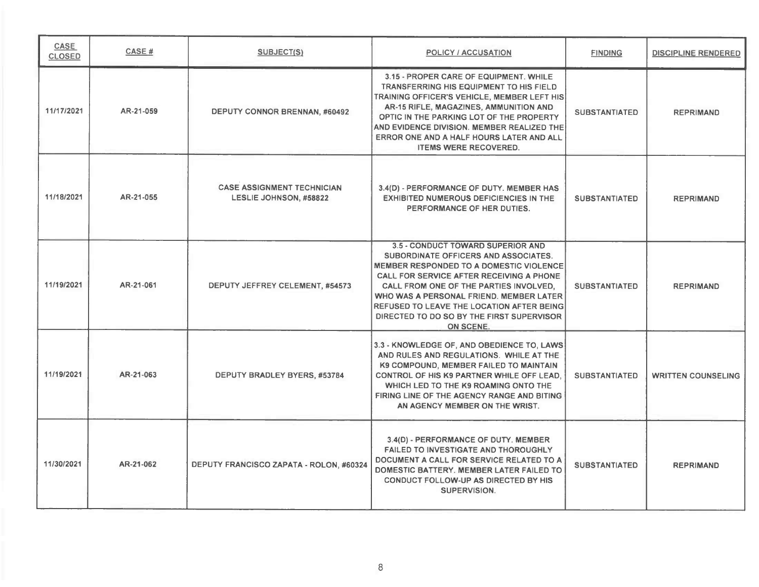| CASE<br><b>CLOSED</b> | CASE#     | <b>SUBJECT(S)</b>                                                  | POLICY / ACCUSATION                                                                                                                                                                                                                                                                                                                                                        | <b>FINDING</b>       | DISCIPLINE RENDERED       |
|-----------------------|-----------|--------------------------------------------------------------------|----------------------------------------------------------------------------------------------------------------------------------------------------------------------------------------------------------------------------------------------------------------------------------------------------------------------------------------------------------------------------|----------------------|---------------------------|
| 11/17/2021            | AR-21-059 | DEPUTY CONNOR BRENNAN, #60492                                      | 3.15 - PROPER CARE OF EQUIPMENT. WHILE<br><b>TRANSFERRING HIS EQUIPMENT TO HIS FIELD</b><br>TRAINING OFFICER'S VEHICLE, MEMBER LEFT HIS<br>AR-15 RIFLE, MAGAZINES, AMMUNITION AND<br>OPTIC IN THE PARKING LOT OF THE PROPERTY<br>AND EVIDENCE DIVISION. MEMBER REALIZED THE<br>ERROR ONE AND A HALF HOURS LATER AND ALL<br><b>ITEMS WERE RECOVERED.</b>                    | <b>SUBSTANTIATED</b> | <b>REPRIMAND</b>          |
| 11/18/2021            | AR-21-055 | <b>CASE ASSIGNMENT TECHNICIAN</b><br><b>LESLIE JOHNSON, #58822</b> | 3.4(D) - PERFORMANCE OF DUTY. MEMBER HAS<br><b>EXHIBITED NUMEROUS DEFICIENCIES IN THE</b><br>PERFORMANCE OF HER DUTIES.                                                                                                                                                                                                                                                    | <b>SUBSTANTIATED</b> | <b>REPRIMAND</b>          |
| 11/19/2021            | AR-21-061 | DEPUTY JEFFREY CELEMENT, #54573                                    | <b>3.5 - CONDUCT TOWARD SUPERIOR AND</b><br>SUBORDINATE OFFICERS AND ASSOCIATES.<br>MEMBER RESPONDED TO A DOMESTIC VIOLENCE<br>CALL FOR SERVICE AFTER RECEIVING A PHONE<br>CALL FROM ONE OF THE PARTIES INVOLVED.<br>WHO WAS A PERSONAL FRIEND. MEMBER LATER<br>REFUSED TO LEAVE THE LOCATION AFTER BEING<br>DIRECTED TO DO SO BY THE FIRST SUPERVISOR<br><b>ON SCENE.</b> | <b>SUBSTANTIATED</b> | <b>REPRIMAND</b>          |
| 11/19/2021            | AR-21-063 | DEPUTY BRADLEY BYERS, #53784                                       | 3.3 - KNOWLEDGE OF, AND OBEDIENCE TO, LAWS<br>AND RULES AND REGULATIONS. WHILE AT THE<br>K9 COMPOUND, MEMBER FAILED TO MAINTAIN<br>CONTROL OF HIS K9 PARTNER WHILE OFF LEAD.<br>WHICH LED TO THE K9 ROAMING ONTO THE<br>FIRING LINE OF THE AGENCY RANGE AND BITING<br>AN AGENCY MEMBER ON THE WRIST.                                                                       | <b>SUBSTANTIATED</b> | <b>WRITTEN COUNSELING</b> |
| 11/30/2021            | AR-21-062 | DEPUTY FRANCISCO ZAPATA - ROLON, #60324                            | 3.4(D) - PERFORMANCE OF DUTY. MEMBER<br><b>FAILED TO INVESTIGATE AND THOROUGHLY</b><br>DOCUMENT A CALL FOR SERVICE RELATED TO A<br>DOMESTIC BATTERY. MEMBER LATER FAILED TO<br><b>CONDUCT FOLLOW-UP AS DIRECTED BY HIS</b><br>SUPERVISION.                                                                                                                                 | <b>SUBSTANTIATED</b> | <b>REPRIMAND</b>          |